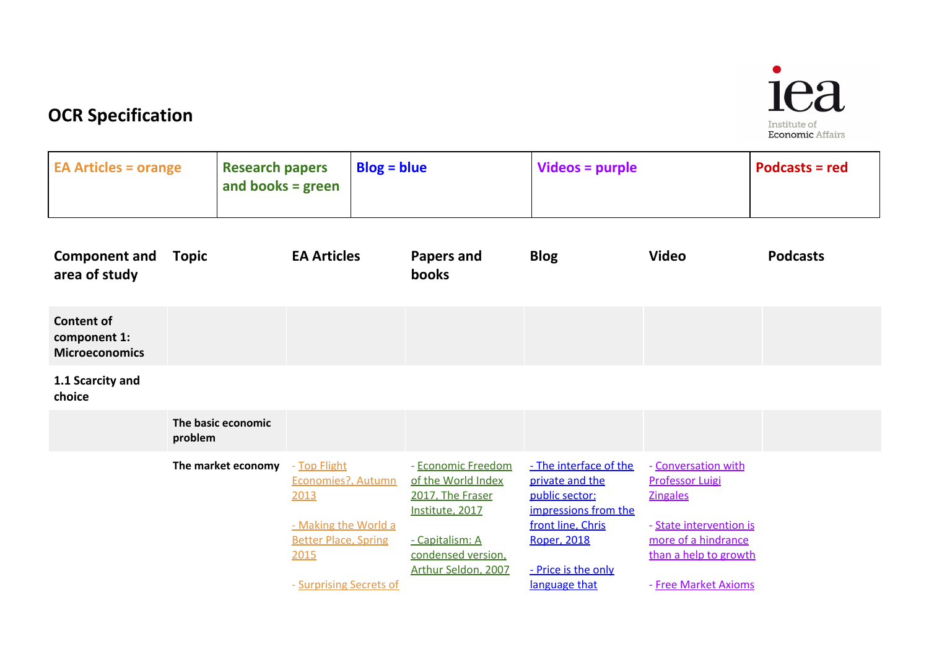

# **OCR Specification**

| <b>EA Articles = orange</b>                                |              | <b>Research papers</b><br>and books = $green$ |                                                                                                                                      | $Blog = blue$ |                                                                                                                                                 | <b>Videos = purple</b>                                                                                                                                          |                                                                                                                                                                     | Podcasts = red  |
|------------------------------------------------------------|--------------|-----------------------------------------------|--------------------------------------------------------------------------------------------------------------------------------------|---------------|-------------------------------------------------------------------------------------------------------------------------------------------------|-----------------------------------------------------------------------------------------------------------------------------------------------------------------|---------------------------------------------------------------------------------------------------------------------------------------------------------------------|-----------------|
| <b>Component and</b><br>area of study                      | <b>Topic</b> |                                               | <b>EA Articles</b>                                                                                                                   |               | <b>Papers and</b><br>books                                                                                                                      | <b>Blog</b>                                                                                                                                                     | <b>Video</b>                                                                                                                                                        | <b>Podcasts</b> |
| <b>Content of</b><br>component 1:<br><b>Microeconomics</b> |              |                                               |                                                                                                                                      |               |                                                                                                                                                 |                                                                                                                                                                 |                                                                                                                                                                     |                 |
| 1.1 Scarcity and<br>choice                                 |              |                                               |                                                                                                                                      |               |                                                                                                                                                 |                                                                                                                                                                 |                                                                                                                                                                     |                 |
|                                                            | problem      | The basic economic                            |                                                                                                                                      |               |                                                                                                                                                 |                                                                                                                                                                 |                                                                                                                                                                     |                 |
|                                                            |              | The market economy                            | - Top Flight<br>Economies?, Autumn<br>2013<br>- Making the World a<br><b>Better Place, Spring</b><br>2015<br>- Surprising Secrets of |               | - Economic Freedom<br>of the World Index<br>2017, The Fraser<br>Institute, 2017<br>- Capitalism: A<br>condensed version.<br>Arthur Seldon, 2007 | - The interface of the<br>private and the<br>public sector:<br>impressions from the<br>front line, Chris<br>Roper, 2018<br>- Price is the only<br>language that | - Conversation with<br><b>Professor Luigi</b><br><b>Zingales</b><br>- State intervention is<br>more of a hindrance<br>than a help to growth<br>- Free Market Axioms |                 |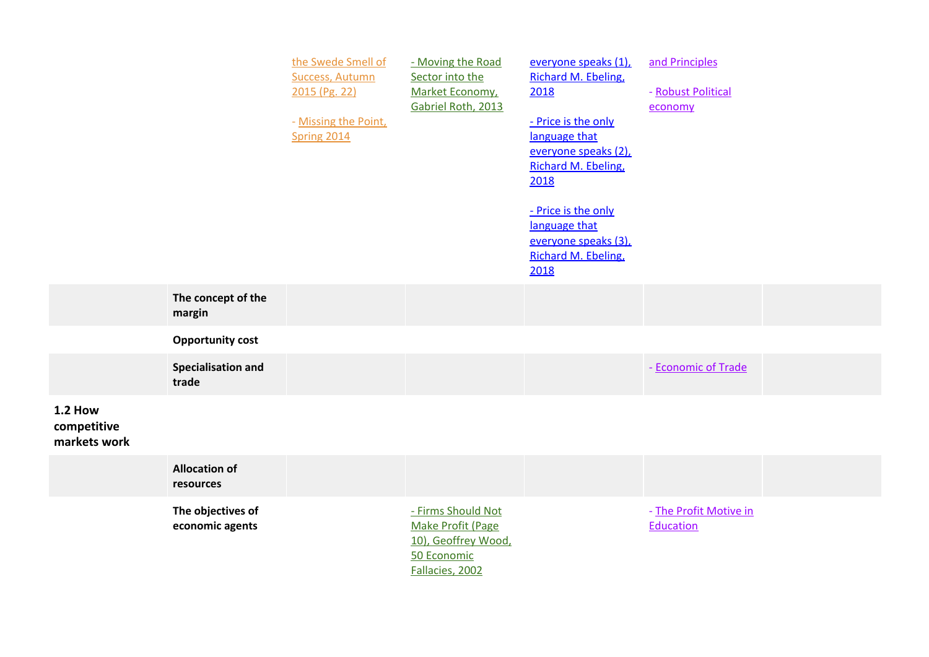|                                               |                                      | the Swede Smell of<br><b>Success, Autumn</b><br>2015 (Pg. 22)<br>- Missing the Point,<br>Spring 2014 | - Moving the Road<br>Sector into the<br>Market Economy,<br>Gabriel Roth, 2013                    | everyone speaks (1),<br>Richard M. Ebeling,<br>2018<br>- Price is the only<br>language that<br>everyone speaks (2),<br>Richard M. Ebeling,<br>2018<br>- Price is the only<br>language that<br>everyone speaks (3),<br>Richard M. Ebeling,<br>2018 | and Principles<br>- Robust Political<br>economy |  |
|-----------------------------------------------|--------------------------------------|------------------------------------------------------------------------------------------------------|--------------------------------------------------------------------------------------------------|---------------------------------------------------------------------------------------------------------------------------------------------------------------------------------------------------------------------------------------------------|-------------------------------------------------|--|
|                                               | The concept of the<br>margin         |                                                                                                      |                                                                                                  |                                                                                                                                                                                                                                                   |                                                 |  |
|                                               | <b>Opportunity cost</b>              |                                                                                                      |                                                                                                  |                                                                                                                                                                                                                                                   |                                                 |  |
|                                               | <b>Specialisation and</b><br>trade   |                                                                                                      |                                                                                                  |                                                                                                                                                                                                                                                   | - Economic of Trade                             |  |
| <b>1.2 How</b><br>competitive<br>markets work |                                      |                                                                                                      |                                                                                                  |                                                                                                                                                                                                                                                   |                                                 |  |
|                                               | <b>Allocation of</b><br>resources    |                                                                                                      |                                                                                                  |                                                                                                                                                                                                                                                   |                                                 |  |
|                                               | The objectives of<br>economic agents |                                                                                                      | - Firms Should Not<br>Make Profit (Page<br>10), Geoffrey Wood,<br>50 Economic<br>Fallacies, 2002 |                                                                                                                                                                                                                                                   | - The Profit Motive in<br>Education             |  |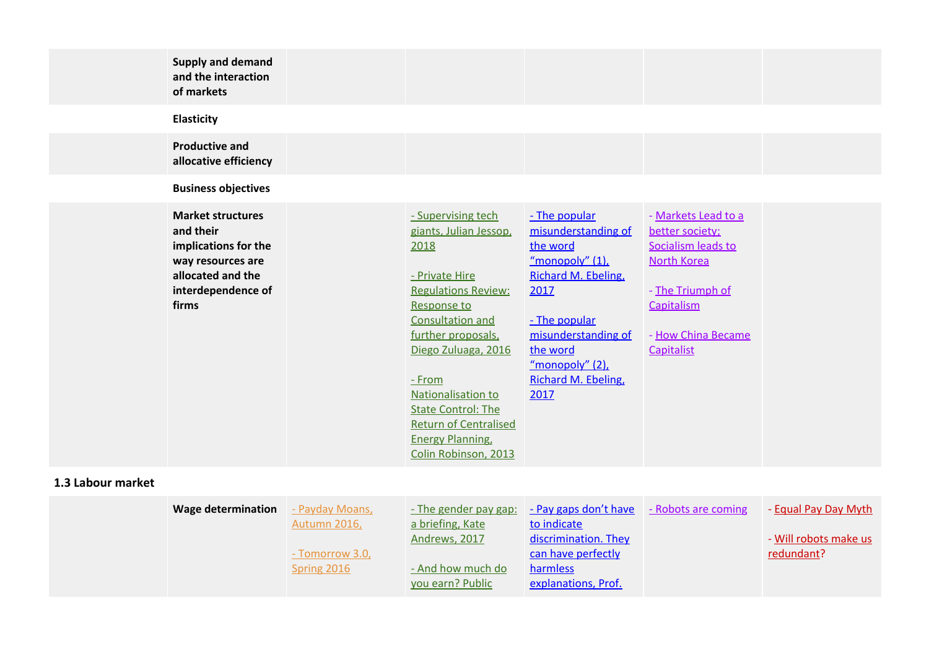| <b>Supply and demand</b><br>and the interaction<br>of markets<br><b>Elasticity</b>                                                                                   |                                                                                                                                                                                                                                                                                                                                        |                                                                                                                                                                                                             |                                                                                                                                                          |  |
|----------------------------------------------------------------------------------------------------------------------------------------------------------------------|----------------------------------------------------------------------------------------------------------------------------------------------------------------------------------------------------------------------------------------------------------------------------------------------------------------------------------------|-------------------------------------------------------------------------------------------------------------------------------------------------------------------------------------------------------------|----------------------------------------------------------------------------------------------------------------------------------------------------------|--|
| <b>Productive and</b><br>allocative efficiency                                                                                                                       |                                                                                                                                                                                                                                                                                                                                        |                                                                                                                                                                                                             |                                                                                                                                                          |  |
| <b>Business objectives</b><br><b>Market structures</b><br>and their<br>implications for the<br>way resources are<br>allocated and the<br>interdependence of<br>firms | - Supervising tech<br>giants, Julian Jessop,<br>2018<br>- Private Hire<br><b>Regulations Review:</b><br>Response to<br>Consultation and<br>further proposals,<br>Diego Zuluaga, 2016<br>$-$ From<br>Nationalisation to<br><b>State Control: The</b><br><b>Return of Centralised</b><br><b>Energy Planning,</b><br>Colin Robinson, 2013 | - The popular<br>misunderstanding of<br>the word<br>"monopoly" (1),<br>Richard M. Ebeling,<br>2017<br>- The popular<br>misunderstanding of<br>the word<br>"monopoly" $(2)$ ,<br>Richard M. Ebeling,<br>2017 | - Markets Lead to a<br>better society;<br>Socialism leads to<br><b>North Korea</b><br>- The Triumph of<br>Capitalism<br>- How China Became<br>Capitalist |  |

## **1.3 Labour market**

| - Payday Moans,     | <u>- The gender pay gap:</u> |                      | - Equal Pay Day Myth                    |
|---------------------|------------------------------|----------------------|-----------------------------------------|
| <b>Autumn 2016,</b> | a briefing, Kate             | to indicate          |                                         |
|                     | Andrews, 2017                | discrimination. They | - Will robots make us                   |
| - Tomorrow 3.0,     |                              | can have perfectly   | redundant?                              |
| Spring 2016         | - And how much do            | harmless             |                                         |
|                     | vou earn? Public             | explanations, Prof.  |                                         |
|                     |                              |                      | Pay gaps don't have - Robots are coming |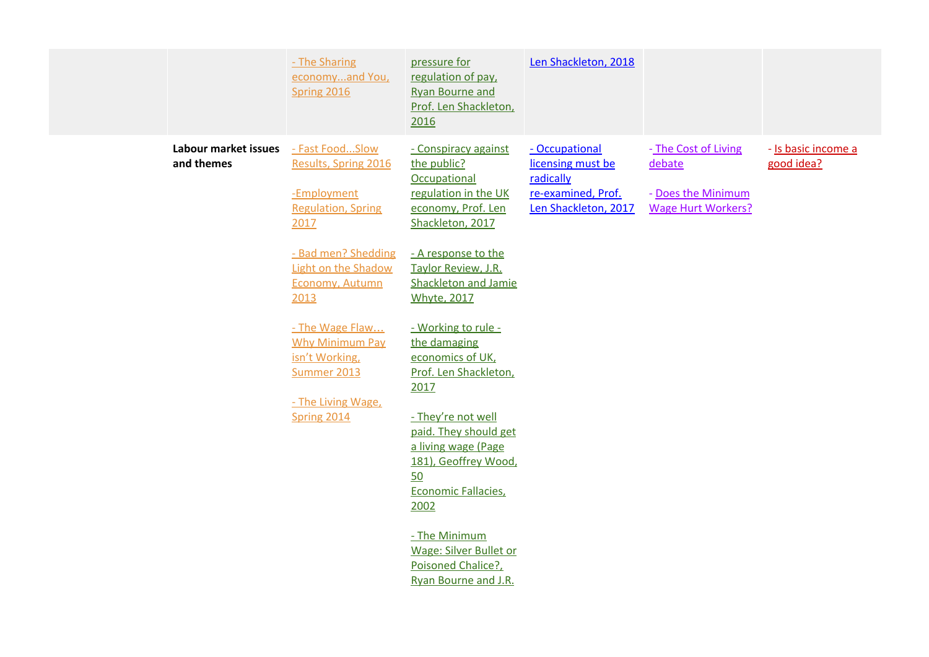|                                    | - The Sharing<br>economyand You,<br>Spring 2016                                                  | pressure for<br>regulation of pay,<br><b>Ryan Bourne and</b><br>Prof. Len Shackleton,<br>2016                                   | Len Shackleton, 2018                                                                           |                                                                                   |                                   |
|------------------------------------|--------------------------------------------------------------------------------------------------|---------------------------------------------------------------------------------------------------------------------------------|------------------------------------------------------------------------------------------------|-----------------------------------------------------------------------------------|-----------------------------------|
| Labour market issues<br>and themes | - Fast FoodSlow<br>Results, Spring 2016<br>-Employment<br><b>Regulation, Spring</b><br>2017      | - Conspiracy against<br>the public?<br>Occupational<br>regulation in the UK<br>economy, Prof. Len<br>Shackleton, 2017           | - Occupational<br>licensing must be<br>radically<br>re-examined, Prof.<br>Len Shackleton, 2017 | - The Cost of Living<br>debate<br>- Does the Minimum<br><b>Wage Hurt Workers?</b> | - Is basic income a<br>good idea? |
|                                    | - Bad men? Shedding<br><b>Light on the Shadow</b><br><b>Economy, Autumn</b><br>2013              | - A response to the<br>Taylor Review, J.R.<br><b>Shackleton and Jamie</b><br><b>Whyte, 2017</b>                                 |                                                                                                |                                                                                   |                                   |
|                                    | - The Wage Flaw<br><b>Why Minimum Pay</b><br>isn't Working,<br>Summer 2013<br>- The Living Wage, | - Working to rule -<br>the damaging<br>economics of UK,<br>Prof. Len Shackleton,<br>2017                                        |                                                                                                |                                                                                   |                                   |
|                                    | Spring 2014                                                                                      | - They're not well<br>paid. They should get<br>a living wage (Page<br>181), Geoffrey Wood,<br>50<br>Economic Fallacies.<br>2002 |                                                                                                |                                                                                   |                                   |
|                                    |                                                                                                  | - The Minimum<br><b>Wage: Silver Bullet or</b><br>Poisoned Chalice?.<br>Ryan Bourne and J.R.                                    |                                                                                                |                                                                                   |                                   |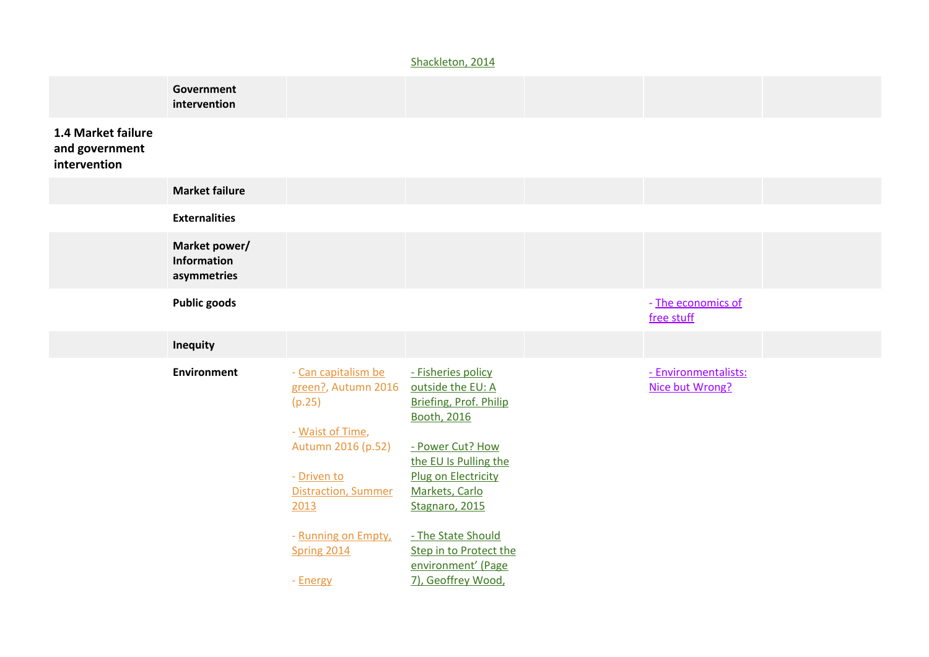#### [Shackleton,](http://www.iea.org.uk/sites/default/files/publications/files/Briefing%20-%20Minimum%20Wage.pdf) 2014

|                                                      | Government<br>intervention                  |                                                                                                |                                                                                                                                      |                                         |  |
|------------------------------------------------------|---------------------------------------------|------------------------------------------------------------------------------------------------|--------------------------------------------------------------------------------------------------------------------------------------|-----------------------------------------|--|
| 1.4 Market failure<br>and government<br>intervention |                                             |                                                                                                |                                                                                                                                      |                                         |  |
|                                                      | <b>Market failure</b>                       |                                                                                                |                                                                                                                                      |                                         |  |
|                                                      | <b>Externalities</b>                        |                                                                                                |                                                                                                                                      |                                         |  |
|                                                      | Market power/<br>Information<br>asymmetries |                                                                                                |                                                                                                                                      |                                         |  |
|                                                      | <b>Public goods</b>                         |                                                                                                |                                                                                                                                      | - The economics of<br>free stuff        |  |
|                                                      | Inequity                                    |                                                                                                |                                                                                                                                      |                                         |  |
|                                                      | Environment                                 | - Can capitalism be<br>green?, Autumn 2016<br>(p.25)<br>- Waist of Time,<br>Autumn 2016 (p.52) | - Fisheries policy<br>outside the EU: A<br>Briefing, Prof. Philip<br><b>Booth, 2016</b><br>- Power Cut? How<br>the EU Is Pulling the | - Environmentalists:<br>Nice but Wrong? |  |
|                                                      |                                             | - Driven to<br><b>Distraction, Summer</b><br>2013                                              | Plug on Electricity<br>Markets, Carlo<br>Stagnaro, 2015                                                                              |                                         |  |
|                                                      |                                             | - Running on Empty,<br>Spring 2014<br>- Energy                                                 | - The State Should<br>Step in to Protect the<br>environment' (Page<br>7), Geoffrey Wood,                                             |                                         |  |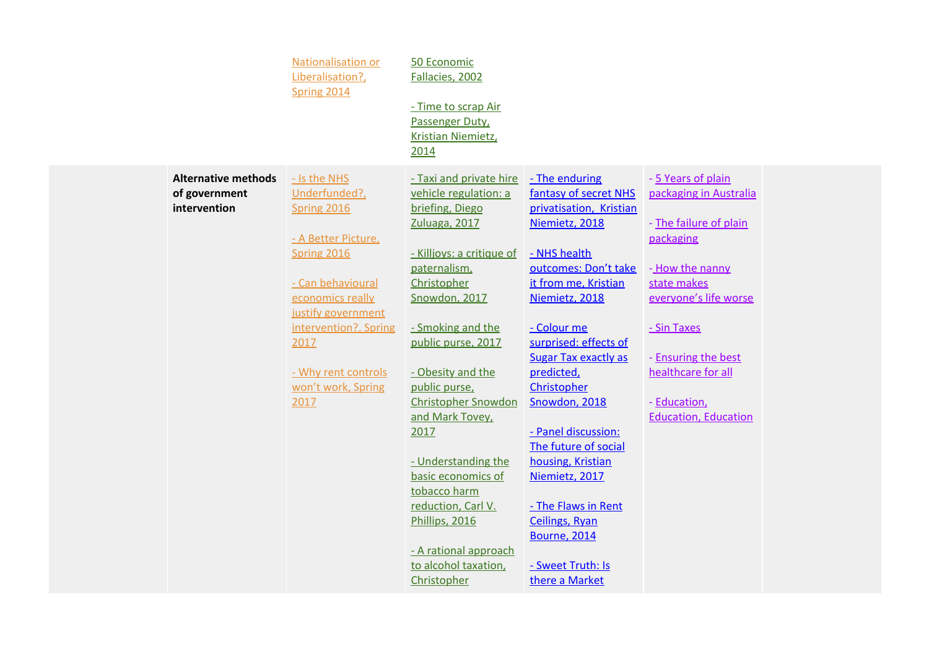|                                                             | Nationalisation or<br>Liberalisation?,<br>Spring 2014 | 50 Economic<br>Fallacies, 2002                                       |                                                                     |                                              |  |
|-------------------------------------------------------------|-------------------------------------------------------|----------------------------------------------------------------------|---------------------------------------------------------------------|----------------------------------------------|--|
|                                                             |                                                       | - Time to scrap Air<br>Passenger Duty,<br>Kristian Niemietz,<br>2014 |                                                                     |                                              |  |
| <b>Alternative methods</b><br>of government<br>intervention | - Is the NHS<br>Underfunded?,<br>Spring 2016          | - Taxi and private hire<br>vehicle regulation: a<br>briefing, Diego  | - The enduring<br>fantasy of secret NHS<br>privatisation, Kristian  | - 5 Years of plain<br>packaging in Australia |  |
|                                                             | - A Better Picture,<br><b>Spring 2016</b>             | Zuluaga, 2017<br>- Killjoys: a critique of                           | Niemietz, 2018<br>- NHS health                                      | - The failure of plain<br>packaging          |  |
|                                                             | - Can behavioural                                     | paternalism,<br>Christopher                                          | outcomes: Don't take<br>it from me, Kristian                        | - How the nanny<br>state makes               |  |
|                                                             | economics really<br>justify government                | Snowdon, 2017                                                        | Niemietz, 2018                                                      | everyone's life worse                        |  |
|                                                             | intervention?, Spring<br>2017                         | - Smoking and the<br>public purse, 2017                              | - Colour me<br>surprised: effects of<br><b>Sugar Tax exactly as</b> | - Sin Taxes<br>- Ensuring the best           |  |
|                                                             | - Why rent controls<br>won't work, Spring             | - Obesity and the<br>public purse,                                   | predicted,<br>Christopher                                           | healthcare for all                           |  |
|                                                             | 2017                                                  | <b>Christopher Snowdon</b><br>and Mark Tovey,                        | Snowdon, 2018                                                       | - Education,<br><b>Education, Education</b>  |  |
|                                                             |                                                       | 2017<br>- Understanding the                                          | - Panel discussion:<br>The future of social<br>housing, Kristian    |                                              |  |
|                                                             |                                                       | basic economics of<br>tobacco harm                                   | Niemietz, 2017                                                      |                                              |  |
|                                                             |                                                       | reduction, Carl V.<br>Phillips, 2016                                 | - The Flaws in Rent<br><b>Ceilings, Ryan</b><br><b>Bourne, 2014</b> |                                              |  |
|                                                             |                                                       | - A rational approach<br>to alcohol taxation,                        | - Sweet Truth: Is                                                   |                                              |  |
|                                                             |                                                       | Christopher                                                          | there a Market                                                      |                                              |  |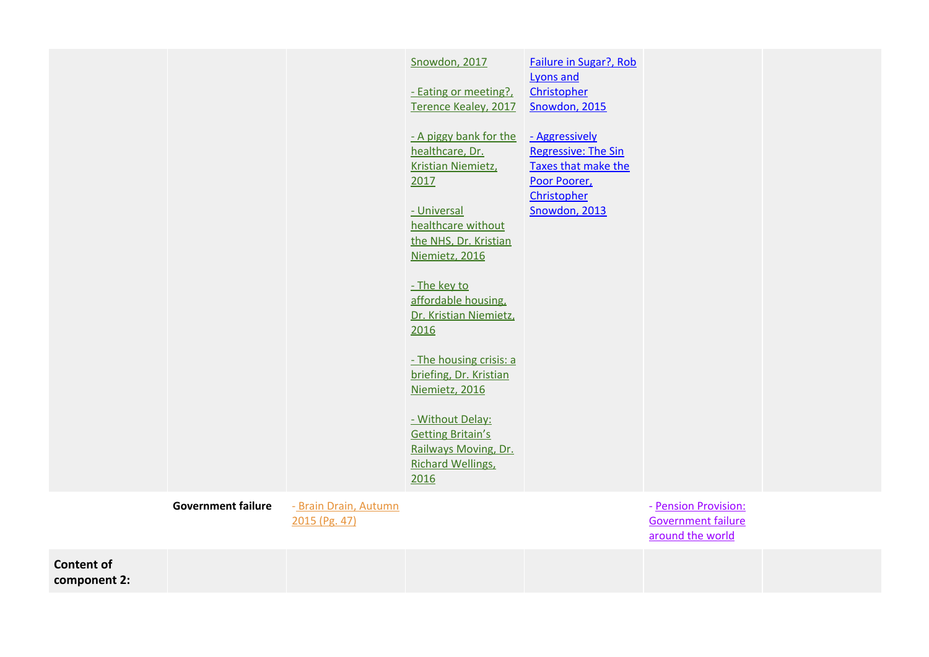|                                   |                           |                                        | Snowdon, 2017<br>- Eating or meeting?<br>Terence Kealey, 2017<br>- A piggy bank for the<br>healthcare, Dr.<br>Kristian Niemietz,<br>2017<br>- Universal<br>healthcare without<br>the NHS, Dr. Kristian<br>Niemietz, 2016<br>- The key to<br>affordable housing,<br>Dr. Kristian Niemietz,<br>2016<br>- The housing crisis: a<br>briefing, Dr. Kristian<br>Niemietz, 2016<br>- Without Delay:<br><b>Getting Britain's</b><br>Railways Moving, Dr.<br><b>Richard Wellings,</b><br>2016 | Failure in Sugar?, Rob<br>Lyons and<br>Christopher<br>Snowdon, 2015<br>- Aggressively<br><b>Regressive: The Sin</b><br>Taxes that make the<br>Poor Poorer,<br>Christopher<br>Snowdon, 2013 |                                                                       |  |
|-----------------------------------|---------------------------|----------------------------------------|--------------------------------------------------------------------------------------------------------------------------------------------------------------------------------------------------------------------------------------------------------------------------------------------------------------------------------------------------------------------------------------------------------------------------------------------------------------------------------------|--------------------------------------------------------------------------------------------------------------------------------------------------------------------------------------------|-----------------------------------------------------------------------|--|
|                                   | <b>Government failure</b> | - Brain Drain, Autumn<br>2015 (Pg. 47) |                                                                                                                                                                                                                                                                                                                                                                                                                                                                                      |                                                                                                                                                                                            | - Pension Provision:<br><b>Government failure</b><br>around the world |  |
| <b>Content of</b><br>component 2: |                           |                                        |                                                                                                                                                                                                                                                                                                                                                                                                                                                                                      |                                                                                                                                                                                            |                                                                       |  |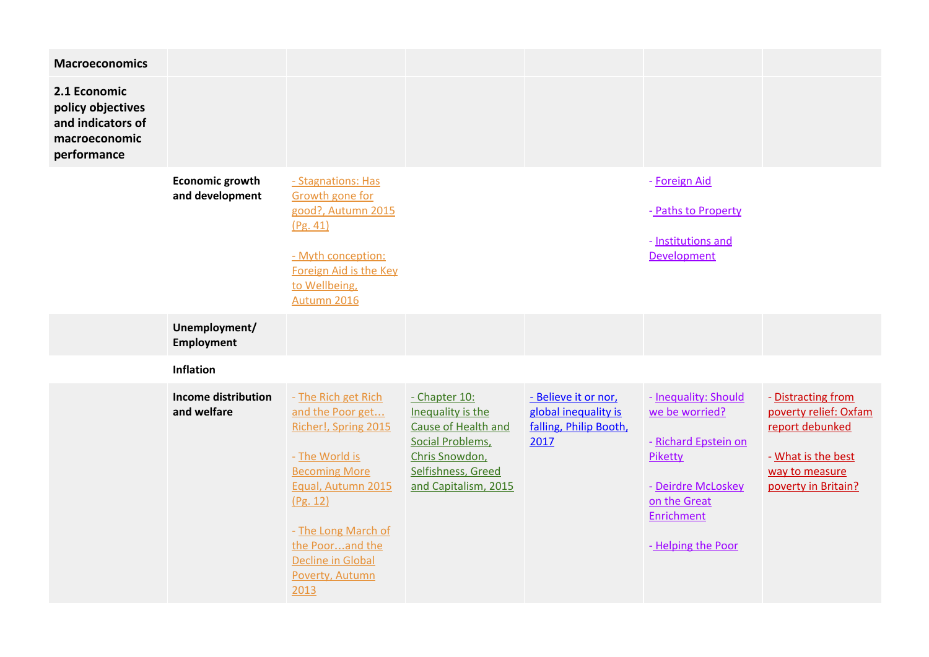| <b>Macroeconomics</b>                                                                  |                                           |                                                                                                                                                                                                                                              |                                                                                                                                               |                                                                                |                                                                                                                                                     |                                                                                                                               |
|----------------------------------------------------------------------------------------|-------------------------------------------|----------------------------------------------------------------------------------------------------------------------------------------------------------------------------------------------------------------------------------------------|-----------------------------------------------------------------------------------------------------------------------------------------------|--------------------------------------------------------------------------------|-----------------------------------------------------------------------------------------------------------------------------------------------------|-------------------------------------------------------------------------------------------------------------------------------|
| 2.1 Economic<br>policy objectives<br>and indicators of<br>macroeconomic<br>performance |                                           |                                                                                                                                                                                                                                              |                                                                                                                                               |                                                                                |                                                                                                                                                     |                                                                                                                               |
|                                                                                        | <b>Economic growth</b><br>and development | - Stagnations: Has<br>Growth gone for<br>good?, Autumn 2015<br>(Pg. 41)<br>- Myth conception:<br>Foreign Aid is the Key<br>to Wellbeing,<br>Autumn 2016                                                                                      |                                                                                                                                               |                                                                                | - Foreign Aid<br>- Paths to Property<br>- Institutions and<br>Development                                                                           |                                                                                                                               |
|                                                                                        | Unemployment/<br><b>Employment</b>        |                                                                                                                                                                                                                                              |                                                                                                                                               |                                                                                |                                                                                                                                                     |                                                                                                                               |
|                                                                                        | Inflation                                 |                                                                                                                                                                                                                                              |                                                                                                                                               |                                                                                |                                                                                                                                                     |                                                                                                                               |
|                                                                                        | <b>Income distribution</b><br>and welfare | - The Rich get Rich<br>and the Poor get<br>Richer!, Spring 2015<br>- The World is<br><b>Becoming More</b><br>Equal, Autumn 2015<br>(Pg. 12)<br>- The Long March of<br>the Poorand the<br><b>Decline in Global</b><br>Poverty, Autumn<br>2013 | - Chapter 10:<br>Inequality is the<br>Cause of Health and<br>Social Problems,<br>Chris Snowdon,<br>Selfishness, Greed<br>and Capitalism, 2015 | - Believe it or nor,<br>global inequality is<br>falling, Philip Booth,<br>2017 | - Inequality: Should<br>we be worried?<br>- Richard Epstein on<br>Piketty<br>- Deirdre McLoskey<br>on the Great<br>Enrichment<br>- Helping the Poor | - Distracting from<br>poverty relief: Oxfam<br>report debunked<br>- What is the best<br>way to measure<br>poverty in Britain? |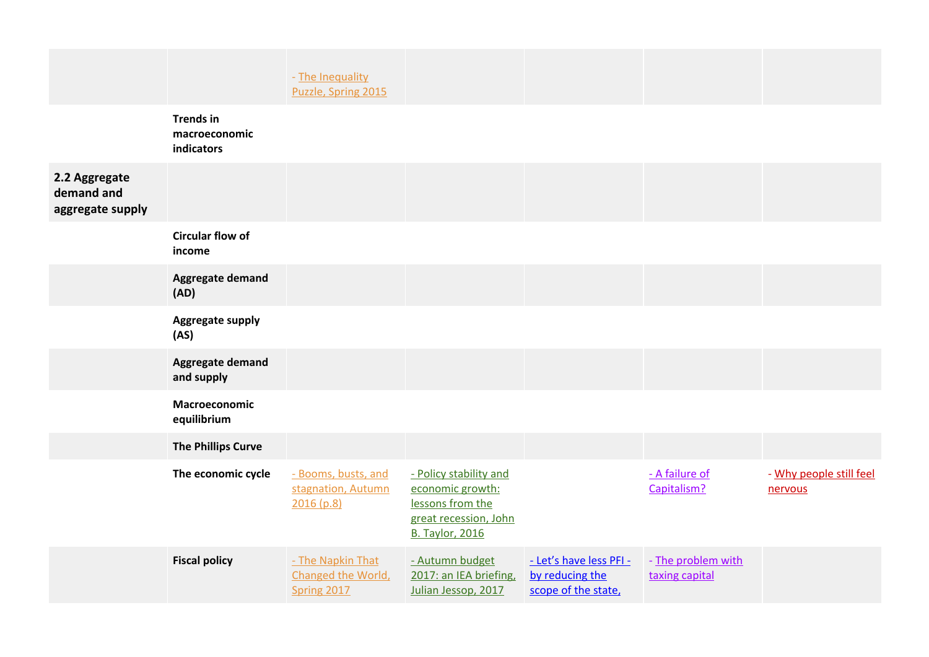|                                                 |                                                 | - The Inequality<br>Puzzle, Spring 2015                 |                                                                                                                   |                                                                  |                                      |                                    |
|-------------------------------------------------|-------------------------------------------------|---------------------------------------------------------|-------------------------------------------------------------------------------------------------------------------|------------------------------------------------------------------|--------------------------------------|------------------------------------|
|                                                 | <b>Trends in</b><br>macroeconomic<br>indicators |                                                         |                                                                                                                   |                                                                  |                                      |                                    |
| 2.2 Aggregate<br>demand and<br>aggregate supply |                                                 |                                                         |                                                                                                                   |                                                                  |                                      |                                    |
|                                                 | <b>Circular flow of</b><br>income               |                                                         |                                                                                                                   |                                                                  |                                      |                                    |
|                                                 | <b>Aggregate demand</b><br>(AD)                 |                                                         |                                                                                                                   |                                                                  |                                      |                                    |
|                                                 | Aggregate supply<br>(AS)                        |                                                         |                                                                                                                   |                                                                  |                                      |                                    |
|                                                 | Aggregate demand<br>and supply                  |                                                         |                                                                                                                   |                                                                  |                                      |                                    |
|                                                 | Macroeconomic<br>equilibrium                    |                                                         |                                                                                                                   |                                                                  |                                      |                                    |
|                                                 | <b>The Phillips Curve</b>                       |                                                         |                                                                                                                   |                                                                  |                                      |                                    |
|                                                 | The economic cycle                              | - Booms, busts, and<br>stagnation, Autumn<br>2016 (p.8) | - Policy stability and<br>economic growth:<br>lessons from the<br>great recession, John<br><b>B. Taylor, 2016</b> |                                                                  | - A failure of<br>Capitalism?        | - Why people still feel<br>nervous |
|                                                 | <b>Fiscal policy</b>                            | - The Napkin That<br>Changed the World,<br>Spring 2017  | - Autumn budget<br>2017: an IEA briefing,<br>Julian Jessop, 2017                                                  | - Let's have less PFI-<br>by reducing the<br>scope of the state. | - The problem with<br>taxing capital |                                    |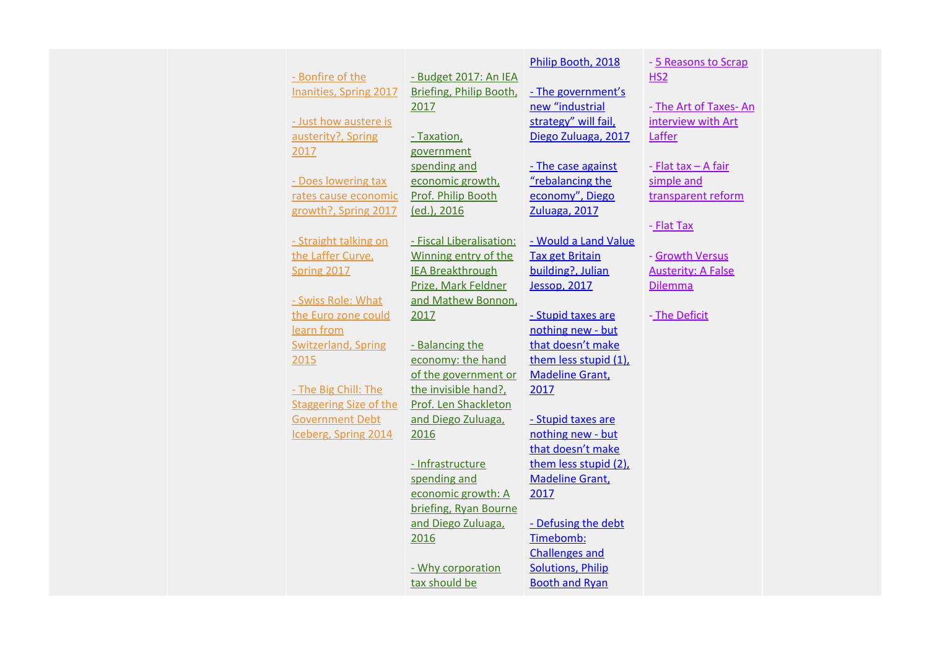|  |                               |                          | Philip Booth, 2018       | - 5 Reasons to Scrap      |  |
|--|-------------------------------|--------------------------|--------------------------|---------------------------|--|
|  | - Bonfire of the              | - Budget 2017: An IEA    |                          | HS2                       |  |
|  | Inanities, Spring 2017        | Briefing, Philip Booth,  | - The government's       |                           |  |
|  |                               | 2017                     | new "industrial          | - The Art of Taxes-An     |  |
|  | - Just how austere is         |                          | strategy" will fail,     | interview with Art        |  |
|  | austerity?, Spring            | - Taxation,              | Diego Zuluaga, 2017      | Laffer                    |  |
|  | 2017                          | government               |                          |                           |  |
|  |                               | spending and             | - The case against       | - Flat tax - A fair       |  |
|  | - Does lowering tax           | economic growth,         | "rebalancing the         | simple and                |  |
|  | rates cause economic          | Prof. Philip Booth       | economy", Diego          | transparent reform        |  |
|  | growth?, Spring 2017          | (ed.), 2016              | Zuluaga, 2017            |                           |  |
|  |                               |                          |                          | - Flat Tax                |  |
|  | - Straight talking on         | - Fiscal Liberalisation: | - Would a Land Value     |                           |  |
|  | the Laffer Curve,             | Winning entry of the     | <b>Tax get Britain</b>   | - Growth Versus           |  |
|  | Spring 2017                   | <b>IEA Breakthrough</b>  | building?, Julian        | <b>Austerity: A False</b> |  |
|  |                               | Prize, Mark Feldner      | <b>Jessop, 2017</b>      | <b>Dilemma</b>            |  |
|  | - Swiss Role: What            | and Mathew Bonnon,       |                          |                           |  |
|  | the Euro zone could           | 2017                     | - Stupid taxes are       | - The Deficit             |  |
|  | learn from                    |                          | nothing new - but        |                           |  |
|  | <b>Switzerland, Spring</b>    | - Balancing the          | that doesn't make        |                           |  |
|  | 2015                          | economy: the hand        | them less stupid (1),    |                           |  |
|  |                               | of the government or     | <b>Madeline Grant</b> ,  |                           |  |
|  | - The Big Chill: The          | the invisible hand?,     | 2017                     |                           |  |
|  | <b>Staggering Size of the</b> | Prof. Len Shackleton     |                          |                           |  |
|  | <b>Government Debt</b>        | and Diego Zuluaga,       | - Stupid taxes are       |                           |  |
|  | Iceberg, Spring 2014          | 2016                     | nothing new - but        |                           |  |
|  |                               |                          | that doesn't make        |                           |  |
|  |                               | - Infrastructure         | them less stupid (2),    |                           |  |
|  |                               | spending and             | <b>Madeline Grant</b> ,  |                           |  |
|  |                               | economic growth: A       | 2017                     |                           |  |
|  |                               | briefing, Ryan Bourne    |                          |                           |  |
|  |                               | and Diego Zuluaga.       | - Defusing the debt      |                           |  |
|  |                               | 2016                     | Timebomb:                |                           |  |
|  |                               |                          | <b>Challenges and</b>    |                           |  |
|  |                               | - Why corporation        | <b>Solutions, Philip</b> |                           |  |
|  |                               | tax should be            | <b>Booth and Ryan</b>    |                           |  |
|  |                               |                          |                          |                           |  |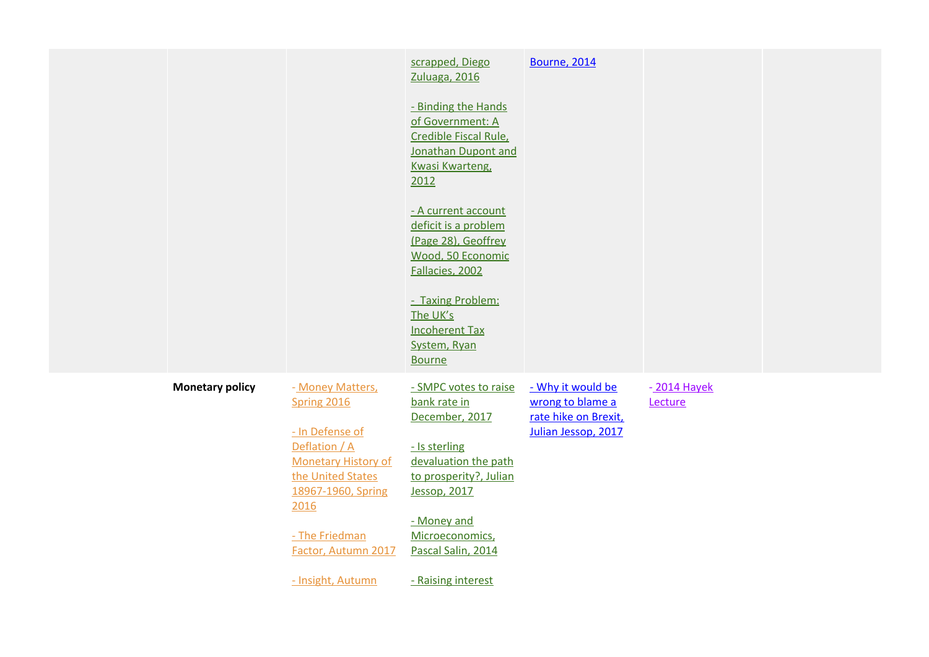|                        |                                                                                                                                                      | scrapped, Diego<br>Zuluaga, 2016                                                                                                           | <b>Bourne, 2014</b>                                                                  |                        |  |
|------------------------|------------------------------------------------------------------------------------------------------------------------------------------------------|--------------------------------------------------------------------------------------------------------------------------------------------|--------------------------------------------------------------------------------------|------------------------|--|
|                        |                                                                                                                                                      | - Binding the Hands<br>of Government: A<br>Credible Fiscal Rule,<br>Jonathan Dupont and<br><b>Kwasi Kwarteng</b><br>2012                   |                                                                                      |                        |  |
|                        |                                                                                                                                                      | - A current account<br>deficit is a problem<br>(Page 28), Geoffrey<br>Wood, 50 Economic<br>Fallacies, 2002                                 |                                                                                      |                        |  |
|                        |                                                                                                                                                      | - Taxing Problem:<br>The UK's<br><b>Incoherent Tax</b><br>System, Ryan<br><b>Bourne</b>                                                    |                                                                                      |                        |  |
| <b>Monetary policy</b> | - Money Matters,<br>Spring 2016<br>- In Defense of<br>Deflation / A<br><b>Monetary History of</b><br>the United States<br>18967-1960, Spring<br>2016 | - SMPC votes to raise<br>bank rate in<br>December, 2017<br>- Is sterling<br>devaluation the path<br>to prosperity?, Julian<br>Jessop, 2017 | - Why it would be<br>wrong to blame a<br>rate hike on Brexit,<br>Julian Jessop, 2017 | -2014 Hayek<br>Lecture |  |
|                        | - The Friedman<br>Factor, Autumn 2017<br>- Insight, Autumn                                                                                           | - Money and<br>Microeconomics,<br>Pascal Salin, 2014<br>- Raising interest                                                                 |                                                                                      |                        |  |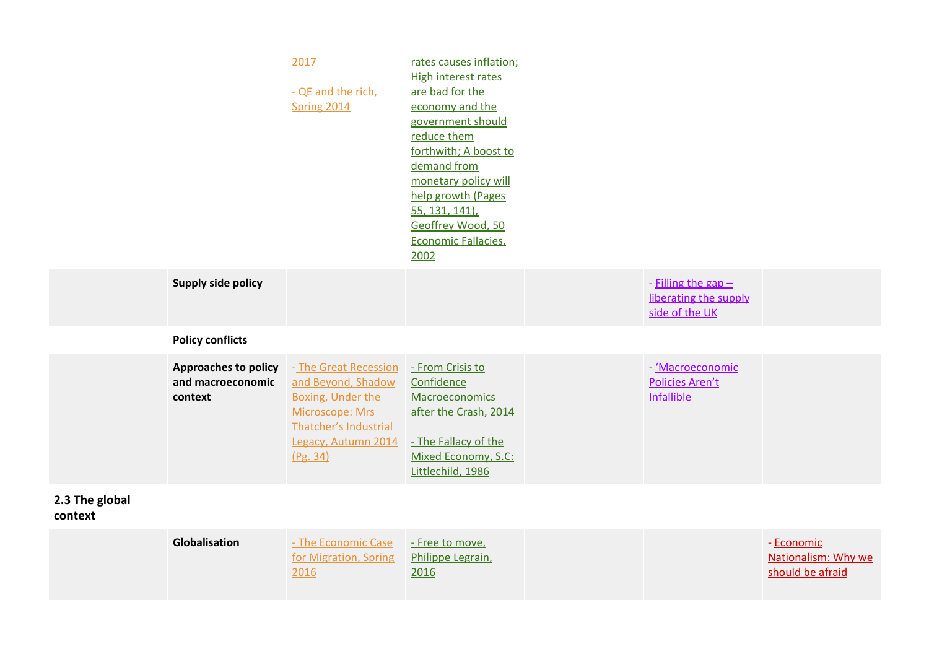|                           |                                                      | 2017<br>- QE and the rich,<br>Spring 2014                                                                                                              | rates causes inflation;<br><b>High interest rates</b><br>are bad for the<br>economy and the<br>government should<br>reduce them<br>forthwith; A boost to<br>demand from<br>monetary policy will<br>help growth (Pages<br>55, 131, 141),<br>Geoffrey Wood, 50<br>Economic Fallacies,<br>2002 |                                                                  |                                                       |
|---------------------------|------------------------------------------------------|--------------------------------------------------------------------------------------------------------------------------------------------------------|---------------------------------------------------------------------------------------------------------------------------------------------------------------------------------------------------------------------------------------------------------------------------------------------|------------------------------------------------------------------|-------------------------------------------------------|
|                           | Supply side policy                                   |                                                                                                                                                        |                                                                                                                                                                                                                                                                                             | - Filling the gap $-$<br>liberating the supply<br>side of the UK |                                                       |
|                           | <b>Policy conflicts</b>                              |                                                                                                                                                        |                                                                                                                                                                                                                                                                                             |                                                                  |                                                       |
|                           | Approaches to policy<br>and macroeconomic<br>context | - The Great Recession<br>and Beyond, Shadow<br><b>Boxing, Under the</b><br>Microscope: Mrs<br>Thatcher's Industrial<br>Legacy, Autumn 2014<br>(Pg. 34) | - From Crisis to<br>Confidence<br>Macroeconomics<br>after the Crash, 2014<br>- The Fallacy of the<br>Mixed Economy, S.C:<br>Littlechild, 1986                                                                                                                                               | - Macroeconomic<br>Policies Aren't<br>Infallible                 |                                                       |
| 2.3 The global<br>context |                                                      |                                                                                                                                                        |                                                                                                                                                                                                                                                                                             |                                                                  |                                                       |
|                           | Globalisation                                        | - The Economic Case<br>for Migration, Spring<br>2016                                                                                                   | - Free to move,<br>Philippe Legrain,<br>2016                                                                                                                                                                                                                                                |                                                                  | - Economic<br>Nationalism: Why we<br>should be afraid |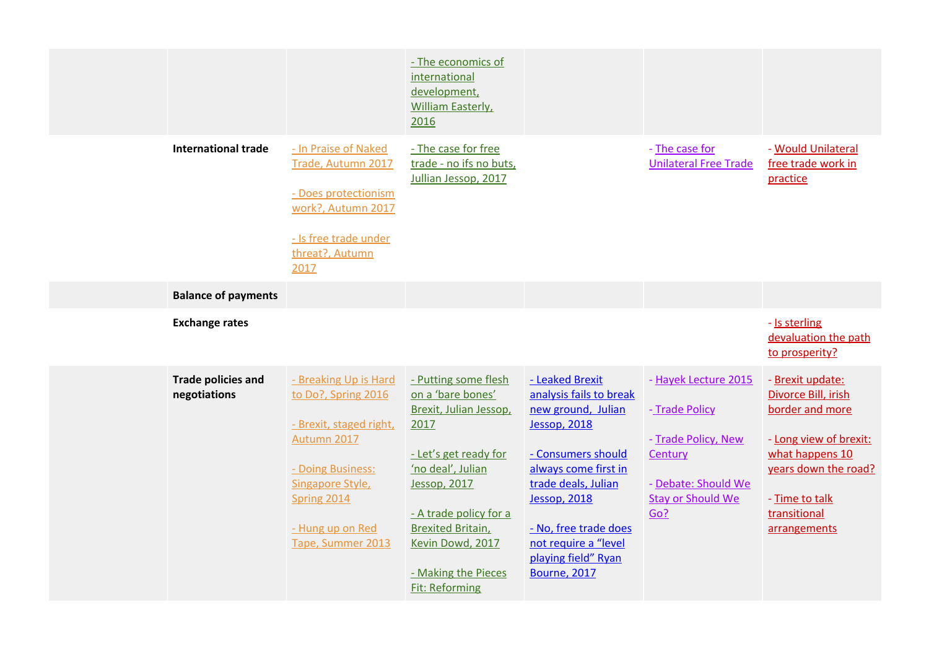|                                           |                                                                                                                                                                                         | - The economics of<br>international<br>development,<br><b>William Easterly</b> ,<br>2016                                                                                                                                                                            |                                                                                                                                                                                                                                                                                    |                                                                                                                                    |                                                                                                                                                                                   |
|-------------------------------------------|-----------------------------------------------------------------------------------------------------------------------------------------------------------------------------------------|---------------------------------------------------------------------------------------------------------------------------------------------------------------------------------------------------------------------------------------------------------------------|------------------------------------------------------------------------------------------------------------------------------------------------------------------------------------------------------------------------------------------------------------------------------------|------------------------------------------------------------------------------------------------------------------------------------|-----------------------------------------------------------------------------------------------------------------------------------------------------------------------------------|
| <b>International trade</b>                | - In Praise of Naked<br>Trade, Autumn 2017<br>- Does protectionism<br>work?, Autumn 2017<br>- Is free trade under<br>threat?, Autumn<br>2017                                            | - The case for free<br>trade - no ifs no buts,<br>Jullian Jessop, 2017                                                                                                                                                                                              |                                                                                                                                                                                                                                                                                    | - The case for<br><b>Unilateral Free Trade</b>                                                                                     | - Would Unilateral<br>free trade work in<br>practice                                                                                                                              |
| <b>Balance of payments</b>                |                                                                                                                                                                                         |                                                                                                                                                                                                                                                                     |                                                                                                                                                                                                                                                                                    |                                                                                                                                    |                                                                                                                                                                                   |
| <b>Exchange rates</b>                     |                                                                                                                                                                                         |                                                                                                                                                                                                                                                                     |                                                                                                                                                                                                                                                                                    |                                                                                                                                    | - Is sterling<br>devaluation the path<br>to prosperity?                                                                                                                           |
| <b>Trade policies and</b><br>negotiations | - Breaking Up is Hard<br>to Do?, Spring 2016<br>- Brexit, staged right,<br>Autumn 2017<br>- Doing Business:<br>Singapore Style,<br>Spring 2014<br>- Hung up on Red<br>Tape, Summer 2013 | - Putting some flesh<br>on a 'bare bones'<br>Brexit, Julian Jessop,<br>2017<br>- Let's get ready for<br>'no deal', Julian<br>Jessop, 2017<br>- A trade policy for a<br><b>Brexited Britain,</b><br>Kevin Dowd, 2017<br>- Making the Pieces<br><b>Fit: Reforming</b> | - Leaked Brexit<br>analysis fails to break<br>new ground, Julian<br><b>Jessop, 2018</b><br>- Consumers should<br>always come first in<br>trade deals, Julian<br><b>Jessop, 2018</b><br>- No, free trade does<br>not require a "level<br>playing field" Ryan<br><b>Bourne, 2017</b> | - Hayek Lecture 2015<br>- Trade Policy<br>- Trade Policy, New<br>Century<br>- Debate: Should We<br><b>Stay or Should We</b><br>Go? | - Brexit update:<br>Divorce Bill, irish<br>border and more<br>- Long view of brexit:<br>what happens 10<br>years down the road?<br>- Time to talk<br>transitional<br>arrangements |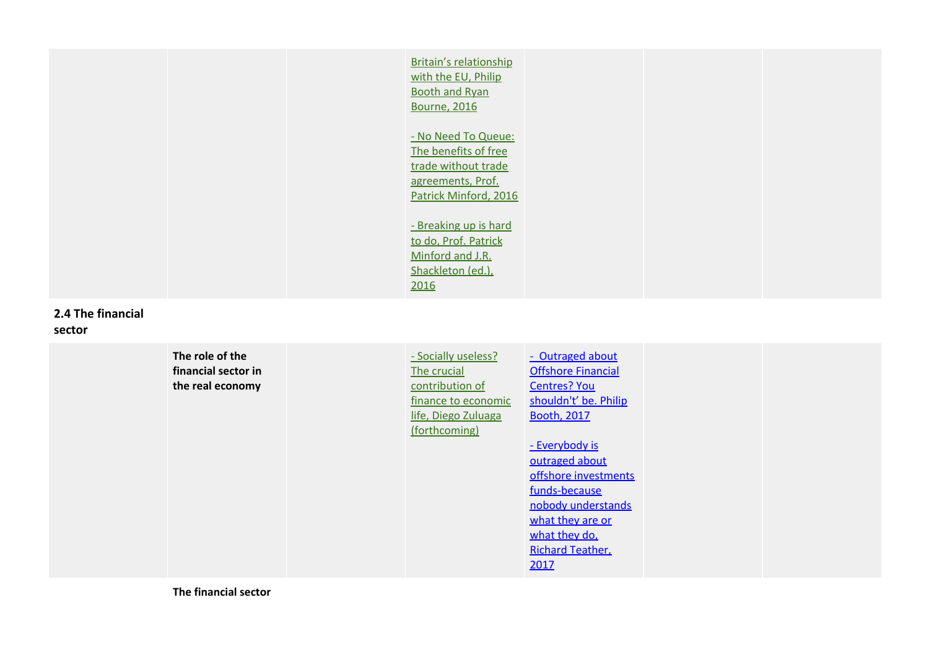|  | <b>Britain's relationship</b><br>with the EU, Philip<br><b>Booth and Ryan</b><br><b>Bourne, 2016</b>             |  |  |
|--|------------------------------------------------------------------------------------------------------------------|--|--|
|  | - No Need To Queue:<br>The benefits of free<br>trade without trade<br>agreements, Prof.<br>Patrick Minford, 2016 |  |  |
|  | - Breaking up is hard<br>to do, Prof. Patrick<br>Minford and J.R.<br>Shackleton (ed.),<br>2016                   |  |  |

#### **2.4 The financial sector**

#### **The role of the financial sector in the real economy** - Socially useless? The crucial contribution of finance to economic life, Diego Zuluaga (forthcoming) - [Outraged](https://iea.org.uk/outraged-about-offshore-financial-centres-you-shouldnt-be) about **Offshore [Financial](https://iea.org.uk/outraged-about-offshore-financial-centres-you-shouldnt-be)** [Centres?](https://iea.org.uk/outraged-about-offshore-financial-centres-you-shouldnt-be) You [shouldn't'](https://iea.org.uk/outraged-about-offshore-financial-centres-you-shouldnt-be) be. Philip [Booth,](https://iea.org.uk/outraged-about-offshore-financial-centres-you-shouldnt-be) 2017 - [Everybody](https://iea.org.uk/everybody-is-outraged-about-offshore-investment-funds-because-nobody-understands-what-they-are-or-what-they-do) is [outraged](https://iea.org.uk/everybody-is-outraged-about-offshore-investment-funds-because-nobody-understands-what-they-are-or-what-they-do) about offshore [investments](https://iea.org.uk/everybody-is-outraged-about-offshore-investment-funds-because-nobody-understands-what-they-are-or-what-they-do) [funds-because](https://iea.org.uk/everybody-is-outraged-about-offshore-investment-funds-because-nobody-understands-what-they-are-or-what-they-do) nobody [understands](https://iea.org.uk/everybody-is-outraged-about-offshore-investment-funds-because-nobody-understands-what-they-are-or-what-they-do) [what](https://iea.org.uk/everybody-is-outraged-about-offshore-investment-funds-because-nobody-understands-what-they-are-or-what-they-do) they are or [what](https://iea.org.uk/everybody-is-outraged-about-offshore-investment-funds-because-nobody-understands-what-they-are-or-what-they-do) they do, Richard [Teather,](https://iea.org.uk/everybody-is-outraged-about-offshore-investment-funds-because-nobody-understands-what-they-are-or-what-they-do) [2017](https://iea.org.uk/everybody-is-outraged-about-offshore-investment-funds-because-nobody-understands-what-they-are-or-what-they-do)

**The financial sector**